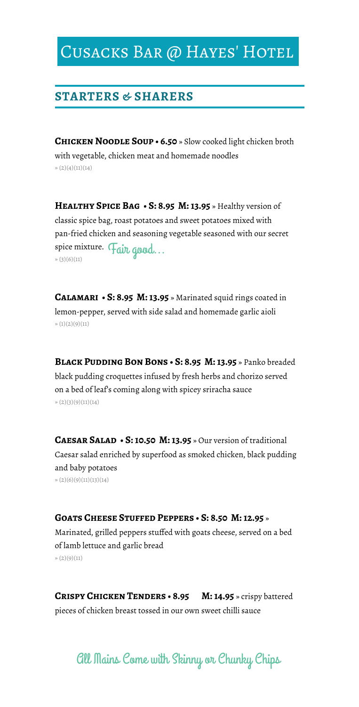## CUSACKS BAR @ HAYES' HOTEL

#### **STARTERS & SHARERS**

**Chicken Noodle Soup • 6.50** » Slow cooked light chicken broth with vegetable, chicken meat and homemade noodles  $\rightarrow (2)(4)(11)(14)$ 

**Healthy Spice Bag • S: 8.95 M: 13.95** » Healthy version of classic spice bag, roast potatoes and sweet potatoes mixed with pan-fried chicken and seasoning vegetable seasoned with our secret spice mixture. Fair good... » (3)(6)(11)

**Calamari • S: 8.95 M: 13.95** » Marinated squid rings coated in lemon-pepper, served with side salad and homemade garlic aioli  $\rightarrow (1)(2)(9)(11)$ 

**Black Pudding Bon Bons • S: 8.95 M: 13.95** » Panko breaded black pudding croquettes infused by fresh herbs and chorizo served on a bed of leaf's coming along with spicey sriracha sauce  $\rightarrow (2)(3)(9)(11)(14)$ 

CAESAR SALAD • S: 10.50 M: 13.95 » Our version of traditional Caesar salad enriched by superfood as smoked chicken, black pudding and baby potatoes » (2)(6)(9)(11)(13)(14)

#### **Goats Cheese Stuffed Peppers • S: 8.50 M: 12.95** »

Marinated, grilled peppers stuffed with goats cheese, served on a bed of lamb lettuce and garlic bread  $\gg$  (2)(9)(11)

**Crispy Chicken Tenders • 8.95 M: 14.95** » crispy battered pieces of chicken breast tossed in our own sweet chilli sauce

All Mains Come with Skinny or Chunky Chips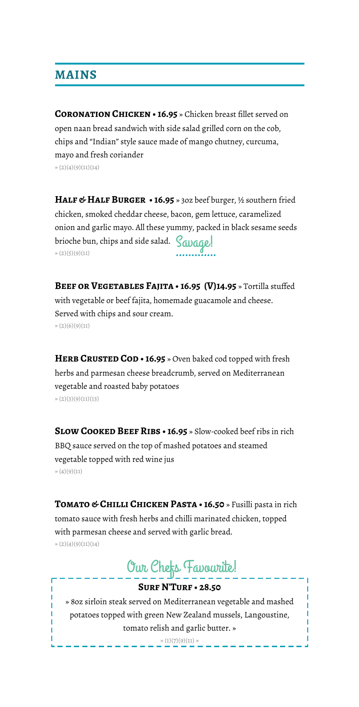## **MAINS**

**Coronation Chicken • 16.95** » Chicken breast fillet served on open naan bread sandwich with side salad grilled corn on the cob, chips and "Indian" style sauce made of mango chutney, curcuma, mayo and fresh coriander  $\rightarrow (2)(4)(9)(11)(14)$ 

**Half & Half Burger • 16.95** » 3oz beef burger, ½ southern fried chicken, smoked cheddar cheese, bacon, gem lettuce, caramelized onion and garlic mayo. All these yummy, packed in black sesame seeds brioche bun, chips and side salad.  $S$ avage!  $\frac{1}{2}(2)(5)(9)(11)$ 

BEEF OR VEGETABLES FAJITA · 16.95 (V)14.95 » Tortilla stuffed with vegetable or beef fajita, homemade guacamole and cheese. Served with chips and sour cream.  $\rightarrow (2)(6)(9)(11)$ 

HERB CRUSTED COD • 16.95 » Oven baked cod topped with fresh herbs and parmesan cheese breadcrumb, served on Mediterranean vegetable and roasted baby potatoes  $\rightarrow (2)(3)(9)(11)(13)$ 

**Slow Cooked Beef Ribs • 16.95** » Slow-cooked beef ribs in rich BBQ sauce served on the top of mashed potatoes and steamed vegetable topped with red wine jus » (4)(9)(11)

**Tomato & Chilli Chicken Pasta • 16.50** » Fusilli pasta in rich tomato sauce with fresh herbs and chilli marinated chicken, topped with parmesan cheese and served with garlic bread.  $\rightarrow (2)(4)(9)(11)(14)$ 

# Our Chefs Favourite!

#### **Surf N'Turf • 28.50**

» 8oz sirloin steak served on Mediterranean vegetable and mashed potatoes topped with green New Zealand mussels, Langoustine, tomato relish and garlic butter. »

 $\gg (1)(7)(9)(11) \gg$